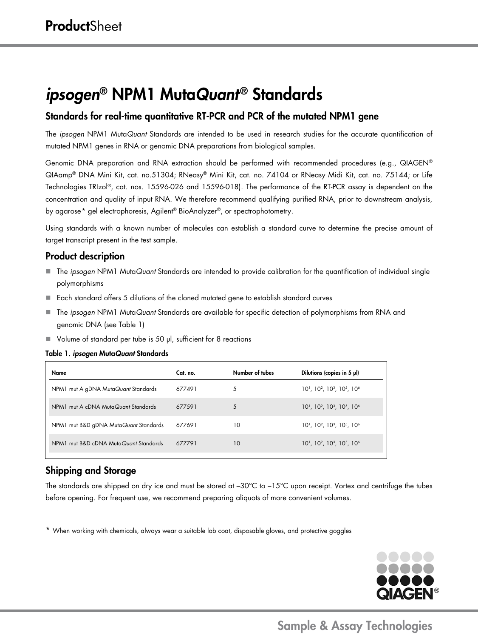# *ipsogen*® NPM1 Muta*Quant*® Standards

## Standards for real-time quantitative RT-PCR and PCR of the mutated NPM1 gene

The *ipsogen* NPM1 Muta*Quant* Standards are intended to be used in research studies for the accurate quantification of mutated NPM1 genes in RNA or genomic DNA preparations from biological samples.

Genomic DNA preparation and RNA extraction should be performed with recommended procedures (e.g., QIAGEN® QIAamp® DNA Mini Kit, cat. no.51304; RNeasy® Mini Kit, cat. no. 74104 or RNeasy Midi Kit, cat. no. 75144; or Life Technologies TRIzol®, cat. nos. 15596-026 and 15596-018). The performance of the RT-PCR assay is dependent on the concentration and quality of input RNA. We therefore recommend qualifying purified RNA, prior to downstream analysis, by agarose[\\*](#page-0-0) gel electrophoresis, Agilent® BioAnalyzer®, or spectrophotometry.

Using standards with a known number of molecules can establish a standard curve to determine the precise amount of target transcript present in the test sample.

## Product description

- The *ipsogen* NPM1 Muta*Quant* Standards are intended to provide calibration for the quantification of individual single polymorphisms
- Each standard offers 5 dilutions of the cloned mutated gene to establish standard curves
- The *ipsogen* NPM1 Muta*Quant* Standards are available for specific detection of polymorphisms from RNA and genomic DNA (see Table 1)
- Volume of standard per tube is 50 µl, sufficient for 8 reactions

#### Table 1. *ipsogen* Muta*Quant* Standards

| Name                                  | Cat. no. | Number of tubes | Dilutions (copies in 5 µl)                 |
|---------------------------------------|----------|-----------------|--------------------------------------------|
| NPM1 mut A gDNA MutaQuant Standards   | 677491   | 5               | $10^1$ , $10^2$ , $10^3$ , $10^5$ , $10^6$ |
| NPM mut A cDNA MutaQuant Standards    | 677591   | 5               | $10^1$ , $10^2$ , $10^3$ , $10^5$ , $10^6$ |
| NPM1 mut B&D gDNA MutaQuant Standards | 677691   | 10              | $10^1$ , $10^2$ , $10^3$ , $10^5$ , $10^6$ |
| NPM1 mut B&D cDNA MutaQuant Standards | 677791   | 10              | $10^1$ , $10^2$ , $10^3$ , $10^5$ , $10^6$ |

# Shipping and Storage

The standards are shipped on dry ice and must be stored at –30°C to –15°C upon receipt. Vortex and centrifuge the tubes before opening. For frequent use, we recommend preparing aliquots of more convenient volumes.

<span id="page-0-0"></span>\* When working with chemicals, always wear a suitable lab coat, disposable gloves, and protective goggles



# Sample & Assay Technologies